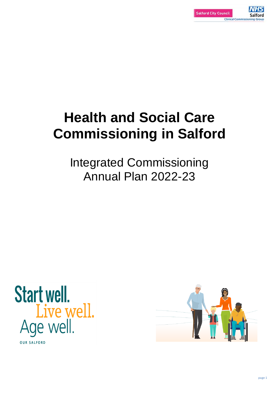## **Health and Social Care Commissioning in Salford**

Integrated Commissioning Annual Plan 2022-23





## Live well.<br>Age well.

**OUR SALFORD**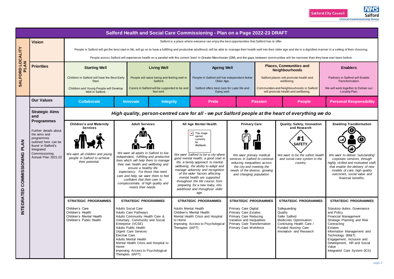|                                             | Salford Health and Social Care Commissioning - Plan on a Page 2022-23 DRAFT                      |                                                                                                                                                                                                                                                                                                                                 |                                                                                                                                                                                                                                                                                                                                                                                                                 |                                                                                                             |                                                                                                                                                                                                                                                                                                                                                                            |                                                                                                                                                                                                           |                                                      |                                                                                                                                                                                               |                                                                                                                                                                                                                                                                                                                          |
|---------------------------------------------|--------------------------------------------------------------------------------------------------|---------------------------------------------------------------------------------------------------------------------------------------------------------------------------------------------------------------------------------------------------------------------------------------------------------------------------------|-----------------------------------------------------------------------------------------------------------------------------------------------------------------------------------------------------------------------------------------------------------------------------------------------------------------------------------------------------------------------------------------------------------------|-------------------------------------------------------------------------------------------------------------|----------------------------------------------------------------------------------------------------------------------------------------------------------------------------------------------------------------------------------------------------------------------------------------------------------------------------------------------------------------------------|-----------------------------------------------------------------------------------------------------------------------------------------------------------------------------------------------------------|------------------------------------------------------|-----------------------------------------------------------------------------------------------------------------------------------------------------------------------------------------------|--------------------------------------------------------------------------------------------------------------------------------------------------------------------------------------------------------------------------------------------------------------------------------------------------------------------------|
|                                             | <b>Vision</b>                                                                                    | Salford is a place where everyone can enjoy the best opportunities that Salford has to offer.<br>People in Salford will get the best start in life, will go on to have a fulfilling and productive adulthood, will be able to manage their health well into their older age and die in a dignified manner in a setting of their |                                                                                                                                                                                                                                                                                                                                                                                                                 |                                                                                                             |                                                                                                                                                                                                                                                                                                                                                                            |                                                                                                                                                                                                           |                                                      |                                                                                                                                                                                               |                                                                                                                                                                                                                                                                                                                          |
| LOCALITY<br>AN<br>SALFORD<br>$\overline{a}$ |                                                                                                  |                                                                                                                                                                                                                                                                                                                                 | People across Salford will experience health on a parallel with the current 'best' in Greater Manchester (GM), and the gaps between communities will be narrower than they have ever been before.                                                                                                                                                                                                               |                                                                                                             |                                                                                                                                                                                                                                                                                                                                                                            |                                                                                                                                                                                                           |                                                      |                                                                                                                                                                                               |                                                                                                                                                                                                                                                                                                                          |
|                                             | <b>Priorities</b>                                                                                | <b>Starting Well</b>                                                                                                                                                                                                                                                                                                            | <b>Living Well</b>                                                                                                                                                                                                                                                                                                                                                                                              | <b>Ageing Well</b>                                                                                          |                                                                                                                                                                                                                                                                                                                                                                            | <b>Places, Communities and</b><br><b>Neighbourhoods</b>                                                                                                                                                   |                                                      | <b>Enablers</b>                                                                                                                                                                               |                                                                                                                                                                                                                                                                                                                          |
|                                             |                                                                                                  | Children in Salford will have the Best Early<br>People will value being and feeling well in<br>Start.<br>Salford.                                                                                                                                                                                                               |                                                                                                                                                                                                                                                                                                                                                                                                                 | People in Salford will live independent Active<br>Older Age.                                                |                                                                                                                                                                                                                                                                                                                                                                            |                                                                                                                                                                                                           | Salford places will promote health and<br>wellbeing. | Partners in Salford will Enable<br>Transformation.                                                                                                                                            |                                                                                                                                                                                                                                                                                                                          |
|                                             | Children and Young People will Develop<br>Well in Salford.                                       |                                                                                                                                                                                                                                                                                                                                 | feel well.                                                                                                                                                                                                                                                                                                                                                                                                      | Carers in Salford will be supported to be and<br>Salford offers best care for Later life and<br>Dying well. |                                                                                                                                                                                                                                                                                                                                                                            |                                                                                                                                                                                                           |                                                      | Communities and Neighbourhoods in Salford<br>will promote health and wellbeing.                                                                                                               | We will work together to Deliver our<br>Locality Plan.                                                                                                                                                                                                                                                                   |
|                                             | <b>Our Values</b>                                                                                | <b>Collaborate</b>                                                                                                                                                                                                                                                                                                              | <b>Innovate</b><br><b>Integrity</b>                                                                                                                                                                                                                                                                                                                                                                             |                                                                                                             | <b>Pride</b>                                                                                                                                                                                                                                                                                                                                                               |                                                                                                                                                                                                           | <b>Passion</b>                                       | <b>People</b>                                                                                                                                                                                 | <b>Personal Responsibility</b>                                                                                                                                                                                                                                                                                           |
| <b>PLAN</b><br><b>SSIDNING</b><br>COMM      | <b>Strategic Aims</b><br>and                                                                     | High quality, person-centred care for all - we put Salford people at the heart of everything we do                                                                                                                                                                                                                              |                                                                                                                                                                                                                                                                                                                                                                                                                 |                                                                                                             |                                                                                                                                                                                                                                                                                                                                                                            |                                                                                                                                                                                                           |                                                      |                                                                                                                                                                                               |                                                                                                                                                                                                                                                                                                                          |
|                                             | <b>Programmes</b><br><b>Children's and Maternity</b><br><b>Services</b><br>Further details about |                                                                                                                                                                                                                                                                                                                                 | <b>Adult Services</b>                                                                                                                                                                                                                                                                                                                                                                                           |                                                                                                             | All Age Mental Health                                                                                                                                                                                                                                                                                                                                                      | <b>Primary Care</b>                                                                                                                                                                                       |                                                      | Quality, Safety, Innovation<br>and Research                                                                                                                                                   | <b>Enabling Transformation</b>                                                                                                                                                                                                                                                                                           |
|                                             | the aims and<br>programmes<br>outlined here can be<br>found in Salford's<br>Integrated           |                                                                                                                                                                                                                                                                                                                                 |                                                                                                                                                                                                                                                                                                                                                                                                                 |                                                                                                             | This image<br>cannot<br>currently<br>be<br>displayed.                                                                                                                                                                                                                                                                                                                      |                                                                                                                                                                                                           |                                                      | #1<br><b>SAFETY</b>                                                                                                                                                                           |                                                                                                                                                                                                                                                                                                                          |
|                                             | Commissioning<br>Annual Plan 2021-22                                                             | We want all children and young<br>people in Salford to achieve<br>their potential.                                                                                                                                                                                                                                              | We want all adults in Salford to live<br>independent, fulfilling and productive<br>lives which will help them to manage<br>their own health and wellbeing and<br>ensure a healthy life<br>expectancy. For those that need<br>care and help, we want them to feel<br>confident that their care is<br>compassionate, of high quality and<br>meets their needs.                                                    |                                                                                                             | We want Salford to be a city where<br>good mental health, a good start in<br>life, a family approach to mental<br>wellbeing, the ability to adapt and<br>manage adversity and recognition<br>of the wider factors affecting<br>mental health are supported<br>throughout the life course; from<br>preparing for a new baby, into<br>adulthood and throughout older<br>age. | We want primary medical<br>services in Salford to continue<br>reducing inequalities across<br>the city and meeting the<br>needs of the diverse, growing<br>and changing population.                       |                                                      | We want to be the safest health<br>and social care system in the<br>country.                                                                                                                  | We want to deliver 'outstanding'<br>corporate services, through<br>highly skilled and motivated staff,<br>that enable the delivery of new<br>models of care, high quality<br>outcomes, social value and<br>financial benefits.                                                                                           |
| <b>INTEGRATED</b>                           |                                                                                                  | <b>STRATEGIC PROGRAMMES</b><br>Children's Care<br>Children's Health<br>Children's Mental Health<br>Children's Public Health                                                                                                                                                                                                     | <b>STRATEGIC PROGRAMMES</b><br><b>Adults Social Care</b><br><b>Adults Care Pathways</b><br>Adults Community Health Care &<br>Voluntary, Community and Social<br>Enterprise (VCSE)<br><b>Adults Public Health</b><br><b>Urgent Care Services</b><br><b>Elective Care</b><br><b>Adults Mental Health</b><br>Mental Health Crisis and Hospital to<br>Home<br>Improving Access to Psychological<br>Therapies (IAPT) | <b>Adults Mental Health</b><br>Children's Mental Health<br>to Home<br>Therapies (IAPT)                      | <b>STRATEGIC PROGRAMMES</b><br>Mental Health Crisis and Hospital<br>Improving Access to Psychological                                                                                                                                                                                                                                                                      | <b>STRATEGIC PROGRAMMES</b><br>Primary Care Digital<br><b>Primary Care Estates</b><br><b>Primary Care Reducing</b><br>Variation and Inequalities<br>Primary Care Transformation<br>Primary Care Workforce |                                                      | <b>STRATEGIC PROGRAMMES</b><br>Safeguarding<br>Quality<br>Safer Salford<br><b>Medicines Optimisation</b><br>Continuing Health Care /<br><b>Funded Nursing Care</b><br>Innovation and Research | <b>STRATEGIC PROGRAMMES</b><br>Statutory duties, Governance<br>and Policy<br><b>Financial Management</b><br>Strategic Planning and Risk<br>Contracting<br>Estates<br>Information Management and<br>Technology (IM&T)<br>Engagement, Inclusion and<br>Development, HR and Social<br>Value<br>Integrated Care System (ICS) |

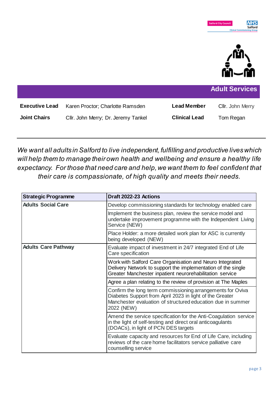

|                       |                                     |                      | <b>Adult Services</b> |
|-----------------------|-------------------------------------|----------------------|-----------------------|
| <b>Executive Lead</b> | Karen Proctor; Charlotte Ramsden    | <b>Lead Member</b>   | Cllr. John Merry      |
| <b>Joint Chairs</b>   | Cllr. John Merry; Dr. Jeremy Tankel | <b>Clinical Lead</b> | Tom Regan             |

*We want all adults in Salford to live independent, fulfilling and productive lives which will help them to manage their own health and wellbeing and ensure a healthy life expectancy. For those that need care and help, we want them to feel confident that their care is compassionate, of high quality and meets their needs.*

| <b>Strategic Programme</b> | Draft 2022-23 Actions                                                                                                                                                                               |
|----------------------------|-----------------------------------------------------------------------------------------------------------------------------------------------------------------------------------------------------|
| <b>Adults Social Care</b>  | Develop commissioning standards for technology enabled care                                                                                                                                         |
|                            | Implement the business plan, review the service model and<br>undertake improvement programme with the Independent Living<br>Service (NEW)                                                           |
|                            | Place Holder: a more detailed work plan for ASC is currently<br>being developed (NEW)                                                                                                               |
| <b>Adults Care Pathway</b> | Evaluate impact of investment in 24/7 integrated End of Life<br>Care specification                                                                                                                  |
|                            | Work with Salford Care Organisation and Neuro Integrated<br>Delivery Network to support the implementation of the single<br>Greater Manchester inpatient neurorehabilitation service                |
|                            | Agree a plan relating to the review of provision at The Maples                                                                                                                                      |
|                            | Confirm the long term commissioning arrangements for Oviva<br>Diabetes Support from April 2023 in light of the Greater<br>Manchester evaluation of structured education due in summer<br>2022 (NEW) |
|                            | Amend the service specification for the Anti-Coagulation service<br>in the light of self-testing and direct oral anticoagulants<br>(DOACs), in light of PCN DES targets                             |
|                            | Evaluate capacity and resources for End of Life Care, including<br>reviews of the care home facilitators service palliative care<br>counselling service                                             |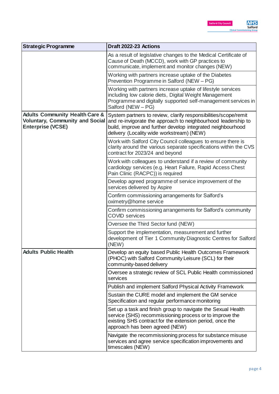| <b>Strategic Programme</b>                                                                                      | Draft 2022-23 Actions                                                                                                                                                                                                                        |
|-----------------------------------------------------------------------------------------------------------------|----------------------------------------------------------------------------------------------------------------------------------------------------------------------------------------------------------------------------------------------|
|                                                                                                                 | As a result of legislative changes to the Medical Certificate of<br>Cause of Death (MCCD), work with GP practices to<br>communicate, implement and monitor changes (NEW)                                                                     |
|                                                                                                                 | Working with partners increase uptake of the Diabetes<br>Prevention Programme in Salford (NEW - PG)                                                                                                                                          |
|                                                                                                                 | Working with partners increase uptake of lifestyle services<br>including low calorie diets, Digital Weight Management<br>Programme and digitally supported self-management services in<br>Salford (NEW - PG)                                 |
| <b>Adults Community Health Care &amp;</b><br><b>Voluntary, Community and Social</b><br><b>Enterprise (VCSE)</b> | System partners to review, clarify responsibilities/scope/remit<br>and re-invigorate the approach to neighbourhood leadership to<br>build, improve and further develop integrated neighbourhood<br>delivery (Locality wide workstream) (NEW) |
|                                                                                                                 | Work with Salford City Council colleagues to ensure there is<br>clarity around the various separate specifications within the CVS<br>contract for 2023/24 and beyond                                                                         |
|                                                                                                                 | Work with colleagues to understand if a review of community<br>cardiology services (e.g. Heart Failure, Rapid Access Chest<br>Pain Clinic (RACPC)) is required                                                                               |
|                                                                                                                 | Develop agreed programme of service improvement of the<br>services delivered by Aspire                                                                                                                                                       |
|                                                                                                                 | Confirm commissioning arrangements for Salford's<br>oximetry@home service                                                                                                                                                                    |
|                                                                                                                 | Confirm commissioning arrangements for Salford's community<br><b>COVID</b> services                                                                                                                                                          |
|                                                                                                                 | Oversee the Third Sector fund (NEW)                                                                                                                                                                                                          |
|                                                                                                                 | Support the implementation, measurement and further<br>development of Tier 1 Community Diagnostic Centres for Salford<br>(NEW)                                                                                                               |
| <b>Adults Public Health</b>                                                                                     | Develop an equity based Public Health Outcomes Framework<br>(PHOC) with Salford Community Leisure (SCL) for their<br>community-based delivery                                                                                                |
|                                                                                                                 | Oversee a strategic review of SCL Public Health commissioned<br>services                                                                                                                                                                     |
|                                                                                                                 | Publish and implement Salford Physical Activity Framework                                                                                                                                                                                    |
|                                                                                                                 | Sustain the CURE model and implement the GM service<br>Specification and regular performance monitoring                                                                                                                                      |
|                                                                                                                 | Set up a task and finish group to navigate the Sexual Health<br>service (SHS) recommissioning process or to improve the<br>existing SHS contract for the extension period, once the<br>approach has been agreed (NEW)                        |
|                                                                                                                 | Navigate the recommissioning process for substance misuse<br>services and agree service specification improvements and<br>timescales (NEW)                                                                                                   |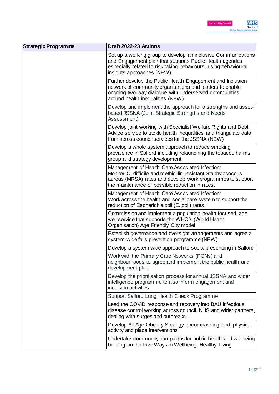

| <b>Strategic Programme</b> | Draft 2022-23 Actions                                                                                                                                                                                                             |
|----------------------------|-----------------------------------------------------------------------------------------------------------------------------------------------------------------------------------------------------------------------------------|
|                            | Set up a working group to develop an inclusive Communications<br>and Engagement plan that supports Public Health agendas<br>especially related to risk taking behaviours, using behavioural<br>insights approaches (NEW)          |
|                            | Further develop the Public Health Engagement and Inclusion<br>network of community organisations and leaders to enable<br>ongoing two-way dialogue with underserved communities<br>around health inequalities (NEW)               |
|                            | Develop and implement the approach for a strengths and asset-<br>based JSSNA (Joint Strategic Strengths and Needs<br>Assessment)                                                                                                  |
|                            | Develop joint working with Specialist Welfare Rights and Debt<br>Advice service to tackle health inequalities and triangulate data<br>from across council services for the JSSNA (NEW)                                            |
|                            | Develop a whole system approach to reduce smoking<br>prevalence in Salford including relaunching the tobacco harms<br>group and strategy development                                                                              |
|                            | Management of Health Care Associated Infection:<br>Monitor C. difficile and methicillin-resistant Staphylococcus<br>aureus (MRSA) rates and develop work programmes to support<br>the maintenance or possible reduction in rates. |
|                            | Management of Health Care Associated Infection:<br>Work across the health and social care system to support the<br>reduction of Escherichia coli (E. coli) rates.                                                                 |
|                            | Commission and implement a population health focused, age<br>well service that supports the WHO's (World Health<br>Organisation) Age Friendly City model                                                                          |
|                            | Establish governance and oversight arrangements and agree a<br>system-wide falls prevention programme (NEW)                                                                                                                       |
|                            | Develop a system wide approach to social prescribing in Salford                                                                                                                                                                   |
|                            | Work with the Primary Care Networks (PCNs) and<br>neighbourhoods to agree and implement the public health and<br>development plan                                                                                                 |
|                            | Develop the prioritisation process for annual JSSNA and wider<br>intelligence programme to also inform engagement and<br>inclusion activities                                                                                     |
|                            | Support Salford Lung Health Check Programme                                                                                                                                                                                       |
|                            | Lead the COVID response and recovery into BAU infectious<br>disease control working across council, NHS and wider partners,<br>dealing with surges and outbreaks                                                                  |
|                            | Develop All Age Obesity Strategy encompassing food, physical<br>activity and place interventions                                                                                                                                  |
|                            | Undertake community campaigns for public health and wellbeing<br>building on the Five Ways to Wellbeing, Healthy Living                                                                                                           |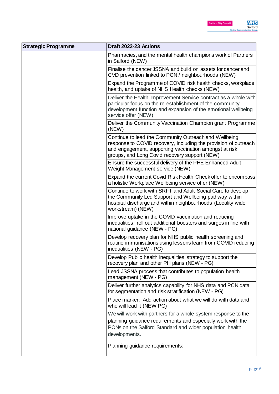| <b>Strategic Programme</b> | Draft 2022-23 Actions                                                                                                                                                                                                               |
|----------------------------|-------------------------------------------------------------------------------------------------------------------------------------------------------------------------------------------------------------------------------------|
|                            | Pharmacies, and the mental health champions work of Partners<br>in Salford (NEW)                                                                                                                                                    |
|                            | Finalise the cancer JSSNA and build on assets for cancer and<br>CVD prevention linked to PCN / neighbourhoods (NEW)                                                                                                                 |
|                            | Expand the Programme of COVID risk health checks, workplace<br>health, and uptake of NHS Health checks (NEW)                                                                                                                        |
|                            | Deliver the Health Improvement Service contract as a whole with<br>particular focus on the re-establishment of the community<br>development function and expansion of the emotional wellbeing<br>service offer (NEW)                |
|                            | Deliver the Community Vaccination Champion grant Programme<br>(NEW)                                                                                                                                                                 |
|                            | Continue to lead the Community Outreach and Wellbeing<br>response to COVID recovery, including the provision of outreach<br>and engagement, supporting vaccination amongst at risk<br>groups, and Long Covid recovery support (NEW) |
|                            | Ensure the successful delivery of the PHE Enhanced Adult<br>Weight Management service (NEW)                                                                                                                                         |
|                            | Expand the current Covid Risk Health Check offer to encompass<br>a holistic Workplace Wellbeing service offer (NEW)                                                                                                                 |
|                            | Continue to work with SRFT and Adult Social Care to develop<br>the Community Led Support and Wellbeing pathway within<br>hospital discharge and within neighbourhoods (Locality wide<br>workstream) (NEW)                           |
|                            | Improve uptake in the COVID vaccination and reducing<br>inequalities, roll out additional boosters and surges in line with<br>national guidance (NEW - PG)                                                                          |
|                            | Develop recovery plan for NHS public health screening and<br>routine immunisations using lessons learn from COVID reducing<br>inequalities (NEW - PG)                                                                               |
|                            | Develop Public health inequalities strategy to support the<br>recovery plan and other PH plans (NEW - PG)                                                                                                                           |
|                            | Lead JSSNA process that contributes to population health<br>management (NEW - PG)                                                                                                                                                   |
|                            | Deliver further analytics capability for NHS data and PCN data<br>for segmentation and risk stratification (NEW - PG)                                                                                                               |
|                            | Place marker: Add action about what we will do with data and<br>who will lead it (NEW PG)                                                                                                                                           |
|                            | We will work with partners for a whole system response to the<br>planning guidance requirements and especially work with the<br>PCNs on the Salford Standard and wider population health<br>developments.                           |
|                            | Planning guidance requirements:                                                                                                                                                                                                     |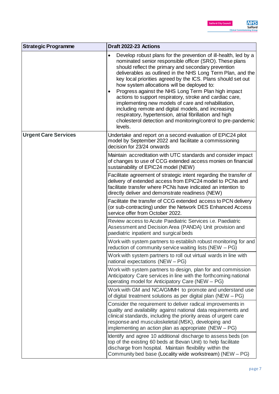| <b>Strategic Programme</b>  | Draft 2022-23 Actions                                                                                                                                                                                                                                                                                                                                                                                                                                                                                                                                                                                                                                                                                                                                    |
|-----------------------------|----------------------------------------------------------------------------------------------------------------------------------------------------------------------------------------------------------------------------------------------------------------------------------------------------------------------------------------------------------------------------------------------------------------------------------------------------------------------------------------------------------------------------------------------------------------------------------------------------------------------------------------------------------------------------------------------------------------------------------------------------------|
|                             | Develop robust plans for the prevention of ill-health, led by a<br>$\bullet$<br>nominated senior responsible officer (SRO). These plans<br>should reflect the primary and secondary prevention<br>deliverables as outlined in the NHS Long Term Plan, and the<br>key local priorities agreed by the ICS. Plans should set out<br>how system allocations will be deployed to:<br>Progress against the NHS Long Term Plan high impact<br>٠<br>actions to support respiratory, stroke and cardiac care,<br>implementing new models of care and rehabilitation,<br>including remote and digital models, and increasing<br>respiratory, hypertension, atrial fibrillation and high<br>cholesterol detection and monitoring/control to pre-pandemic<br>levels. |
| <b>Urgent Care Services</b> | Undertake and report on a second evaluation of EPiC24 pilot<br>model by September 2022 and facilitate a commissioning<br>decision for 23/24 onwards                                                                                                                                                                                                                                                                                                                                                                                                                                                                                                                                                                                                      |
|                             | Maintain accreditation with UTC standards and consider impact<br>of changes to use of CCG extended access monies on financial<br>sustainability of EPiC24 model (NEW)                                                                                                                                                                                                                                                                                                                                                                                                                                                                                                                                                                                    |
|                             | Facilitate agreement of strategic intent regarding the transfer of<br>delivery of extended access from EPiC24 model to PCNs and<br>facilitate transfer where PCNs have indicated an intention to<br>directly deliver and demonstrate readiness (NEW)                                                                                                                                                                                                                                                                                                                                                                                                                                                                                                     |
|                             | Facilitate the transfer of CCG extended access to PCN delivery<br>(or sub-contracting) under the Network DES Enhanced Access<br>service offer from October 2022.                                                                                                                                                                                                                                                                                                                                                                                                                                                                                                                                                                                         |
|                             | Review access to Acute Paediatric Services <i>i.e.</i> Paediatric<br>Assessment and Decision Area (PANDA) Unit provision and<br>paediatric inpatient and surgical beds                                                                                                                                                                                                                                                                                                                                                                                                                                                                                                                                                                                   |
|                             | Work with system partners to establish robust monitoring for and<br>reduction of community service waiting lists (NEW - PG)                                                                                                                                                                                                                                                                                                                                                                                                                                                                                                                                                                                                                              |
|                             | Work with system partners to roll out virtual wards in line with<br>national expectations (NEW - PG)                                                                                                                                                                                                                                                                                                                                                                                                                                                                                                                                                                                                                                                     |
|                             | Work with system partners to design, plan for and commission<br>Anticipatory Care services in line with the forthcoming national<br>operating model for Anticipatory Care (NEW - PG)                                                                                                                                                                                                                                                                                                                                                                                                                                                                                                                                                                     |
|                             | Work with GM and NCA/GMMH to promote and understand use<br>of digital treatment solutions as per digital plan (NEW – PG)                                                                                                                                                                                                                                                                                                                                                                                                                                                                                                                                                                                                                                 |
|                             | Consider the requirement to deliver radical improvements in<br>quality and availability against national data requirements and<br>clinical standards, including the priority areas of urgent care<br>response and musculoskeletal (MSK), developing and<br>implementing an action plan as appropriate $(NEW - PG)$                                                                                                                                                                                                                                                                                                                                                                                                                                       |
|                             | Identify and agree 10 additional discharge to assess beds (on<br>top of the existing 60 beds at Bevan Unit) to help facilitate<br>discharge from hospital. Maintain flexibility within the<br>Community bed base (Locality wide workstream) (NEW - PG)                                                                                                                                                                                                                                                                                                                                                                                                                                                                                                   |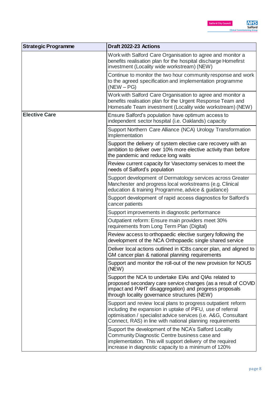| <b>Strategic Programme</b> | Draft 2022-23 Actions                                                                                                                                                                                                                                      |
|----------------------------|------------------------------------------------------------------------------------------------------------------------------------------------------------------------------------------------------------------------------------------------------------|
|                            | Work with Salford Care Organisation to agree and monitor a<br>benefits realisation plan for the hospital discharge Homefirst<br>investment (Locality wide workstream) (NEW)                                                                                |
|                            | Continue to monitor the two hour community response and work<br>to the agreed specification and implementation programme<br>$(NEW - PG)$                                                                                                                   |
|                            | Work with Salford Care Organisation to agree and monitor a<br>benefits realisation plan for the Urgent Response Team and<br>Homesafe Team investment (Locality wide workstream) (NEW)                                                                      |
| <b>Elective Care</b>       | Ensure Salford's population have optimum access to<br>independent sector hospital (i.e. Oaklands) capacity                                                                                                                                                 |
|                            | Support Northern Care Alliance (NCA) Urology Transformation<br>Implementation                                                                                                                                                                              |
|                            | Support the delivery of system elective care recovery with an<br>ambition to deliver over 10% more elective activity than before<br>the pandemic and reduce long waits                                                                                     |
|                            | Review current capacity for Vasectomy services to meet the<br>needs of Salford's population                                                                                                                                                                |
|                            | Support development of Dermatology services across Greater<br>Manchester and progress local workstreams (e.g. Clinical<br>education & training Programme, advice & guidance)                                                                               |
|                            | Support development of rapid access diagnostics for Salford's<br>cancer patients                                                                                                                                                                           |
|                            | Support improvements in diagnostic performance                                                                                                                                                                                                             |
|                            | Outpatient reform: Ensure main providers meet 30%<br>requirements from Long Term Plan (Digital)                                                                                                                                                            |
|                            | Review access to orthopaedic elective surgery following the<br>development of the NCA Orthopaedic single shared service                                                                                                                                    |
|                            | Deliver local actions outlined in ICBs cancer plan, and aligned to<br>GM cancer plan & national planning requirements                                                                                                                                      |
|                            | Support and monitor the roll-out of the new provision for NOUS<br>(NEW)                                                                                                                                                                                    |
|                            | Support the NCA to undertake EIAs and QIAs related to<br>proposed secondary care service changes (as a result of COVID<br>impact and PAHT disaggregation) and progress proposals<br>through locality governance structures (NEW)                           |
|                            | Support and review local plans to progress outpatient reform<br>including the expansion in uptake of PIFU, use of referral<br>optimisation / specialist advice services (i.e. A&G, Consultant<br>Connect, RAS) in line with national planning requirements |
|                            | Support the development of the NCA's Salford Locality<br>Community Diagnostic Centre business case and<br>implementation. This will support delivery of the required<br>increase in diagnostic capacity to a minimum of 120%                               |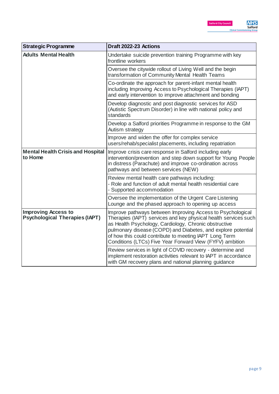| <b>Strategic Programme</b>                                          | Draft 2022-23 Actions                                                                                                                                                                                                                                                                                                                                                        |
|---------------------------------------------------------------------|------------------------------------------------------------------------------------------------------------------------------------------------------------------------------------------------------------------------------------------------------------------------------------------------------------------------------------------------------------------------------|
| <b>Adults Mental Health</b>                                         | Undertake suicide prevention training Programme with key<br>frontline workers                                                                                                                                                                                                                                                                                                |
|                                                                     | Oversee the citywide rollout of Living Well and the begin<br>transformation of Community Mental Health Teams                                                                                                                                                                                                                                                                 |
|                                                                     | Co-ordinate the approach for parent-infant mental health<br>including Improving Access to Psychological Therapies (IAPT)<br>and early intervention to improve attachment and bonding                                                                                                                                                                                         |
|                                                                     | Develop diagnostic and post diagnostic services for ASD<br>(Autistic Spectrum Disorder) in line with national policy and<br>standards                                                                                                                                                                                                                                        |
|                                                                     | Develop a Salford priorities Programme in response to the GM<br>Autism strategy                                                                                                                                                                                                                                                                                              |
|                                                                     | Improve and widen the offer for complex service<br>users/rehab/specialist placements, including repatriation                                                                                                                                                                                                                                                                 |
| <b>Mental Health Crisis and Hospital</b><br>to Home                 | Improve crisis care response in Salford including early<br>intervention/prevention and step down support for Young People<br>in distress (Parachute) and improve co-ordination across<br>pathways and between services (NEW)                                                                                                                                                 |
|                                                                     | Review mental health care pathways including:<br>- Role and function of adult mental health residential care<br>- Supported accommodation                                                                                                                                                                                                                                    |
|                                                                     | Oversee the implementation of the Urgent Care Listening<br>Lounge and the phased approach to opening up access                                                                                                                                                                                                                                                               |
| <b>Improving Access to</b><br><b>Psychological Therapies (IAPT)</b> | Improve pathways between Improving Access to Psychological<br>Therapies (IAPT) services and key physical health services such<br>as Health Psychology, Cardiology, Chronic obstructive<br>pulmonary disease (COPD) and Diabetes, and explore potential<br>of how this could contribute to meeting IAPT Long Term<br>Conditions (LTCs) Five Year Forward View (FYFV) ambition |
|                                                                     | Review services in light of COVID recovery - determine and<br>implement restoration activities relevant to IAPT in accordance<br>with GM recovery plans and national planning guidance                                                                                                                                                                                       |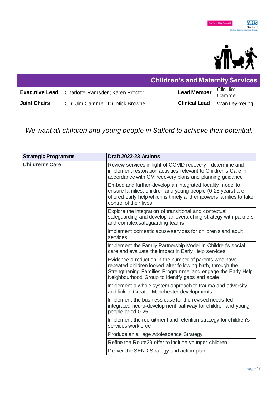

|                     |                                                        | <b>Children's and Maternity Services</b> |               |
|---------------------|--------------------------------------------------------|------------------------------------------|---------------|
|                     | <b>Executive Lead</b> Charlotte Ramsden; Karen Proctor | Lead Member Cllr. Jim<br>Cammell         |               |
| <b>Joint Chairs</b> | Cllr. Jim Cammell; Dr. Nick Browne                     | <b>Clinical Lead</b>                     | Wan Ley-Yeung |

*We want all children and young people in Salford to achieve their potential.*

| <b>Strategic Programme</b> | Draft 2022-23 Actions                                                                                                                                                                                                                  |
|----------------------------|----------------------------------------------------------------------------------------------------------------------------------------------------------------------------------------------------------------------------------------|
| <b>Children's Care</b>     | Review services in light of COVID recovery - determine and<br>implement restoration activities relevant to Children's Care in<br>accordance with GM recovery plans and planning guidance                                               |
|                            | Embed and further develop an integrated locality model to<br>ensure families, children and young people (0-25 years) are<br>offered early help which is timely and empowers families to take<br>control of their lives                 |
|                            | Explore the integration of transitional and contextual<br>safeguarding and develop an overarching strategy with partners<br>and complex safeguarding teams                                                                             |
|                            | Implement domestic abuse services for children's and adult<br>services                                                                                                                                                                 |
|                            | Implement the Family Partnership Model in Children's social<br>care and evaluate the impact in Early Help services                                                                                                                     |
|                            | Evidence a reduction in the number of parents who have<br>repeated children looked after following birth, through the<br>Strengthening Families Programme; and engage the Early Help<br>Neighbourhood Group to identify gaps and scale |
|                            | Implement a whole system approach to trauma and adversity<br>and link to Greater Manchester developments                                                                                                                               |
|                            | Implement the business case for the revised needs-led<br>integrated neuro-development pathway for children and young<br>people aged 0-25                                                                                               |
|                            | Implement the recruitment and retention strategy for children's<br>services workforce                                                                                                                                                  |
|                            | Produce an all age Adolescence Strategy                                                                                                                                                                                                |
|                            | Refine the Route29 offer to include younger children                                                                                                                                                                                   |
|                            | Deliver the SEND Strategy and action plan                                                                                                                                                                                              |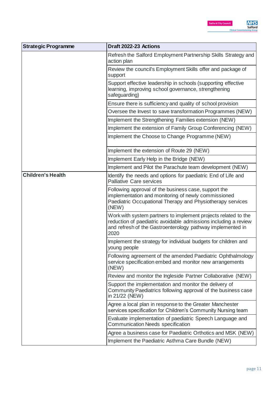| <b>Strategic Programme</b> | Draft 2022-23 Actions                                                                                                                                                                                   |
|----------------------------|---------------------------------------------------------------------------------------------------------------------------------------------------------------------------------------------------------|
|                            | Refresh the Salford Employment Partnership Skills Strategy and<br>action plan                                                                                                                           |
|                            | Review the council's Employment Skills offer and package of<br>support                                                                                                                                  |
|                            | Support effective leadership in schools (supporting effective<br>learning, improving school governance, strengthening<br>safeguarding)                                                                  |
|                            | Ensure there is sufficiency and quality of school provision                                                                                                                                             |
|                            | Oversee the Invest to save transformation Programmes (NEW)                                                                                                                                              |
|                            | Implement the Strengthening Families extension (NEW)                                                                                                                                                    |
|                            | Implement the extension of Family Group Conferencing (NEW)                                                                                                                                              |
|                            | Implement the Choose to Change Programme (NEW)                                                                                                                                                          |
|                            | Implement the extension of Route 29 (NEW)                                                                                                                                                               |
|                            | Implement Early Help in the Bridge (NEW)                                                                                                                                                                |
|                            | Implement and Pilot the Parachute team development (NEW)                                                                                                                                                |
| <b>Children's Health</b>   | Identify the needs and options for paediatric End of Life and<br><b>Palliative Care services</b>                                                                                                        |
|                            | Following approval of the business case, support the<br>implementation and monitoring of newly commissioned<br>Paediatric Occupational Therapy and Physiotherapy services<br>(NEW)                      |
|                            | Work with system partners to implement projects related to the<br>reduction of paediatric avoidable admissions including a review<br>and refresh of the Gastroenterology pathway implemented in<br>2020 |
|                            | Implement the strategy for individual budgets for children and<br>young people                                                                                                                          |
|                            | Following agreement of the amended Paediatric Ophthalmology<br>service specification embed and monitor new arrangements<br>(NEW)                                                                        |
|                            | Review and monitor the Ingleside Partner Collaborative (NEW)                                                                                                                                            |
|                            | Support the implementation and monitor the delivery of<br>Community Paediatrics following approval of the business case<br>in 21/22 (NEW)                                                               |
|                            | Agree a local plan in response to the Greater Manchester<br>services specification for Children's Community Nursing team                                                                                |
|                            | Evaluate implementation of paediatric Speech Language and<br><b>Communication Needs specification</b>                                                                                                   |
|                            | Agree a business case for Paediatric Orthotics and MSK (NEW)                                                                                                                                            |
|                            | Implement the Paediatric Asthma Care Bundle (NEW)                                                                                                                                                       |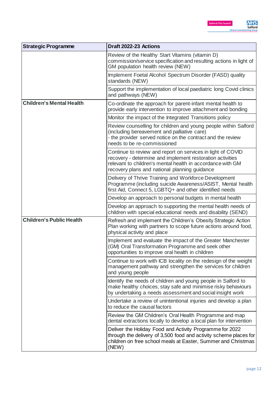| <b>Strategic Programme</b>      | Draft 2022-23 Actions                                                                                                                                                                                                                   |
|---------------------------------|-----------------------------------------------------------------------------------------------------------------------------------------------------------------------------------------------------------------------------------------|
|                                 | Review of the Healthy Start Vitamins (vitamin D)<br>commission/service specification and resulting actions in light of<br>GM population health review (NEW)                                                                             |
|                                 | Implement Foetal Alcohol Spectrum Disorder (FASD) quality<br>standards (NEW)                                                                                                                                                            |
|                                 | Support the implementation of local paediatric long Covid clinics<br>and pathways (NEW)                                                                                                                                                 |
| <b>Children's Mental Health</b> | Co-ordinate the approach for parent-infant mental health to<br>provide early intervention to improve attachment and bonding                                                                                                             |
|                                 | Monitor the impact of the Integrated Transitions policy                                                                                                                                                                                 |
|                                 | Review counselling for children and young people within Salford<br>(including bereavement and palliative care)<br>- the provider served notice on the contract and the review<br>needs to be re-commissioned                            |
|                                 | Continue to review and report on services in light of COVID<br>recovery - determine and implement restoration activities<br>relevant to children's mental health in accordance with GM<br>recovery plans and national planning guidance |
|                                 | Delivery of Thrive Training and Workforce Development<br>Programme (including suicide Awareness/ASIST, Mental health<br>first Aid, Connect 5, LGBTQ+ and other identified needs                                                         |
|                                 | Develop an approach to personal budgets in mental health                                                                                                                                                                                |
|                                 | Develop an approach to supporting the mental health needs of<br>children with special educational needs and disability (SEND)                                                                                                           |
| <b>Children's Public Health</b> | Refresh and implement the Children's Obesity Strategic Action<br>Plan working with partners to scope future actions around food,<br>physical activity and place                                                                         |
|                                 | Implement and evaluate the impact of the Greater Manchester<br>(GM) Oral Transformation Programme and seek other<br>opportunities to improve oral health in children                                                                    |
|                                 | Continue to work with ICB locality on the redesign of the weight<br>management pathway and strengthen the services for children<br>and young people                                                                                     |
|                                 | Identify the needs of children and young people in Salford to<br>make healthy choices, stay safe and minimise risky behaviours<br>by undertaking a needs assessment and social insight work                                             |
|                                 | Undertake a review of unintentional injuries and develop a plan<br>to reduce the causal factors                                                                                                                                         |
|                                 | Review the GM Children's Oral Health Programme and map<br>dental extractions locally to develop a local plan for intervention                                                                                                           |
|                                 | Deliver the Holiday Food and Activity Programme for 2022<br>through the delivery of 3,500 food and activity scheme places for<br>children on free school meals at Easter, Summer and Christmas<br>(NEW)                                 |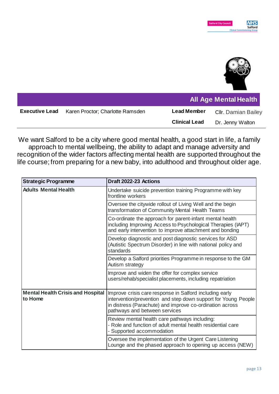

|                       |                                  | <b>All Age Mental Health</b> |                            |
|-----------------------|----------------------------------|------------------------------|----------------------------|
| <b>Executive Lead</b> | Karen Proctor; Charlotte Ramsden | <b>Lead Member</b>           | <b>Cllr.</b> Damian Bailey |
|                       |                                  | <b>Clinical Lead</b>         | Dr. Jenny Walton           |

We want Salford to be a city where good mental health, a good start in life, a family approach to mental wellbeing, the ability to adapt and manage adversity and recognition of the wider factors affecting mental health are supported throughout the life course; from preparing for a new baby, into adulthood and throughout older age.

| <b>Strategic Programme</b>                          | Draft 2022-23 Actions                                                                                                                                                                                                  |
|-----------------------------------------------------|------------------------------------------------------------------------------------------------------------------------------------------------------------------------------------------------------------------------|
| <b>Adults Mental Health</b>                         | Undertake suicide prevention training Programme with key<br>frontline workers                                                                                                                                          |
|                                                     | Oversee the citywide rollout of Living Well and the begin<br>transformation of Community Mental Health Teams                                                                                                           |
|                                                     | Co-ordinate the approach for parent-infant mental health<br>including Improving Access to Psychological Therapies (IAPT)<br>and early intervention to improve attachment and bonding                                   |
|                                                     | Develop diagnostic and post diagnostic services for ASD<br>(Autistic Spectrum Disorder) in line with national policy and<br>standards                                                                                  |
|                                                     | Develop a Salford priorities Programme in response to the GM<br>Autism strategy                                                                                                                                        |
|                                                     | Improve and widen the offer for complex service<br>users/rehab/specialist placements, including repatriation                                                                                                           |
| <b>Mental Health Crisis and Hospital</b><br>to Home | Improve crisis care response in Salford including early<br>intervention/prevention and step down support for Young People<br>in distress (Parachute) and improve co-ordination across<br>pathways and between services |
|                                                     | Review mental health care pathways including:<br>- Role and function of adult mental health residential care<br>- Supported accommodation                                                                              |
|                                                     | Oversee the implementation of the Urgent Care Listening<br>Lounge and the phased approach to opening up access (NEW)                                                                                                   |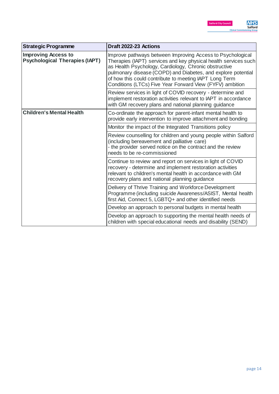| <b>Strategic Programme</b>                                          | Draft 2022-23 Actions                                                                                                                                                                                                                                                                                                                                                        |
|---------------------------------------------------------------------|------------------------------------------------------------------------------------------------------------------------------------------------------------------------------------------------------------------------------------------------------------------------------------------------------------------------------------------------------------------------------|
| <b>Improving Access to</b><br><b>Psychological Therapies (IAPT)</b> | Improve pathways between Improving Access to Psychological<br>Therapies (IAPT) services and key physical health services such<br>as Health Psychology, Cardiology, Chronic obstructive<br>pulmonary disease (COPD) and Diabetes, and explore potential<br>of how this could contribute to meeting IAPT Long Term<br>Conditions (LTCs) Five Year Forward View (FYFV) ambition |
|                                                                     | Review services in light of COVID recovery - determine and<br>implement restoration activities relevant to IAPT in accordance<br>with GM recovery plans and national planning guidance                                                                                                                                                                                       |
| <b>Children's Mental Health</b>                                     | Co-ordinate the approach for parent-infant mental health to<br>provide early intervention to improve attachment and bonding                                                                                                                                                                                                                                                  |
|                                                                     | Monitor the impact of the Integrated Transitions policy                                                                                                                                                                                                                                                                                                                      |
|                                                                     | Review counselling for children and young people within Salford<br>(including bereavement and palliative care)<br>- the provider served notice on the contract and the review<br>needs to be re-commissioned                                                                                                                                                                 |
|                                                                     | Continue to review and report on services in light of COVID<br>recovery - determine and implement restoration activities<br>relevant to children's mental health in accordance with GM<br>recovery plans and national planning guidance                                                                                                                                      |
|                                                                     | Delivery of Thrive Training and Workforce Development<br>Programme (including suicide Awareness/ASIST, Mental health<br>first Aid, Connect 5, LGBTQ+ and other identified needs                                                                                                                                                                                              |
|                                                                     | Develop an approach to personal budgets in mental health                                                                                                                                                                                                                                                                                                                     |
|                                                                     | Develop an approach to supporting the mental health needs of<br>children with special educational needs and disability (SEND)                                                                                                                                                                                                                                                |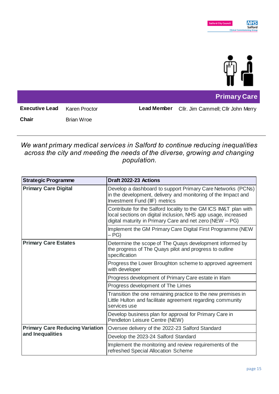

**Primary Care**

**Executive Lead** Karen Proctor **Lead Member** Cllr. Jim Cammell; Cllr John Merry

**Chair** Brian Wroe

*We want primary medical services in Salford to continue reducing inequalities across the city and meeting the needs of the diverse, growing and changing population.* 

| <b>Strategic Programme</b>                                 | Draft 2022-23 Actions                                                                                                                                                                         |
|------------------------------------------------------------|-----------------------------------------------------------------------------------------------------------------------------------------------------------------------------------------------|
| <b>Primary Care Digital</b>                                | Develop a dashboard to support Primary Care Networks (PCNs)<br>in the development, delivery and monitoring of the Impact and<br>Investment Fund (IIF) metrics                                 |
|                                                            | Contribute for the Salford locality to the GM ICS IM&T plan with<br>local sections on digital inclusion, NHS app usage, increased<br>digital maturity in Primary Care and net zero (NEW - PG) |
|                                                            | Implement the GM Primary Care Digital First Programme (NEW<br>$-PG$                                                                                                                           |
| <b>Primary Care Estates</b>                                | Determine the scope of The Quays development informed by<br>the progress of The Quays pilot and progress to outline<br>specification                                                          |
|                                                            | Progress the Lower Broughton scheme to approved agreement<br>with developer                                                                                                                   |
|                                                            | Progress development of Primary Care estate in Irlam                                                                                                                                          |
|                                                            | Progress development of The Limes                                                                                                                                                             |
|                                                            | Transition the one remaining practice to the new premises in<br>Little Hulton and facilitate agreement regarding community<br>services use                                                    |
|                                                            | Develop business plan for approval for Primary Care in<br>Pendleton Leisure Centre (NEW)                                                                                                      |
| <b>Primary Care Reducing Variation</b><br>and Inequalities | Oversee delivery of the 2022-23 Salford Standard                                                                                                                                              |
|                                                            | Develop the 2023-24 Salford Standard                                                                                                                                                          |
|                                                            | Implement the monitoring and review requirements of the<br>refreshed Special Allocation Scheme                                                                                                |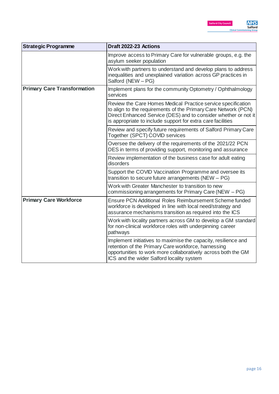| <b>Strategic Programme</b>         | Draft 2022-23 Actions                                                                                                                                                                                                                                            |
|------------------------------------|------------------------------------------------------------------------------------------------------------------------------------------------------------------------------------------------------------------------------------------------------------------|
|                                    | Improve access to Primary Care for vulnerable groups, e.g. the<br>asylum seeker population                                                                                                                                                                       |
|                                    | Work with partners to understand and develop plans to address<br>inequalities and unexplained variation across GP practices in<br>Salford (NEW - PG)                                                                                                             |
| <b>Primary Care Transformation</b> | Implement plans for the community Optometry / Ophthalmology<br>services                                                                                                                                                                                          |
|                                    | Review the Care Homes Medical Practice service specification<br>to align to the requirements of the Primary Care Network (PCN)<br>Direct Enhanced Service (DES) and to consider whether or not it<br>is appropriate to include support for extra care facilities |
|                                    | Review and specify future requirements of Salford Primary Care<br>Together (SPCT) COVID services                                                                                                                                                                 |
|                                    | Oversee the delivery of the requirements of the 2021/22 PCN<br>DES in terms of providing support, monitoring and assurance                                                                                                                                       |
|                                    | Review implementation of the business case for adult eating<br>disorders                                                                                                                                                                                         |
|                                    | Support the COVID Vaccination Programme and oversee its<br>transition to secure future arrangements (NEW - PG)                                                                                                                                                   |
|                                    | Work with Greater Manchester to transition to new<br>commissioning arrangements for Primary Care (NEW – PG)                                                                                                                                                      |
| <b>Primary Care Workforce</b>      | Ensure PCN Additional Roles Reimbursement Scheme funded<br>workforce is developed in line with local need/strategy and<br>assurance mechanisms transition as required into the ICS                                                                               |
|                                    | Work with locality partners across GM to develop a GM standard<br>for non-clinical workforce roles with underpinning career<br>pathways                                                                                                                          |
|                                    | Implement initiatives to maximise the capacity, resilience and<br>retention of the Primary Care workforce, harnessing<br>opportunities to work more collaboratively across both the GM<br>ICS and the wider Salford locality system                              |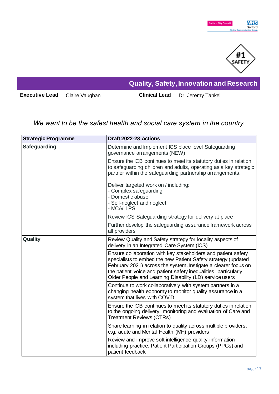



**Executive Lead** Claire Vaughan **Clinical Lead** Dr. Jeremy Tankel

**Quality, Safety, Innovation and Research**

## *We want to be the safest health and social care system in the country.*

| <b>Strategic Programme</b> | Draft 2022-23 Actions                                                                                                                                                                                                                                                                                                          |
|----------------------------|--------------------------------------------------------------------------------------------------------------------------------------------------------------------------------------------------------------------------------------------------------------------------------------------------------------------------------|
| <b>Safeguarding</b>        | Determine and Implement ICS place level Safeguarding<br>governance arrangements (NEW)                                                                                                                                                                                                                                          |
|                            | Ensure the ICB continues to meet its statutory duties in relation<br>to safeguarding children and adults, operating as a key strategic<br>partner within the safeguarding partnership arrangements.                                                                                                                            |
|                            | Deliver targeted work on / including:<br>- Complex safeguarding<br>- Domestic abuse<br>- Self-neglect and neglect<br>- MCA/LPS                                                                                                                                                                                                 |
|                            | Review ICS Safeguarding strategy for delivery at place                                                                                                                                                                                                                                                                         |
|                            | Further develop the safeguarding assurance framework across<br>all providers                                                                                                                                                                                                                                                   |
| Quality                    | Review Quality and Safety strategy for locality aspects of<br>delivery in an Integrated Care System (ICS)                                                                                                                                                                                                                      |
|                            | Ensure collaboration with key stakeholders and patient safety<br>specialists to embed the new Patient Safety strategy (updated<br>February 2021) across the system. Instigate a clearer focus on<br>the patient voice and patient safety inequalities, particularly<br>Older People and Learning Disability (LD) service users |
|                            | Continue to work collaboratively with system partners in a<br>changing health economy to monitor quality assurance in a<br>system that lives with COVID                                                                                                                                                                        |
|                            | Ensure the ICB continues to meet its statutory duties in relation<br>to the ongoing delivery, monitoring and evaluation of Care and<br><b>Treatment Reviews (CTRs)</b>                                                                                                                                                         |
|                            | Share learning in relation to quality across multiple providers,<br>e.g. acute and Mental Health (MH) providers                                                                                                                                                                                                                |
|                            | Review and improve soft intelligence quality information<br>including practice, Patient Participation Groups (PPGs) and<br>patient feedback                                                                                                                                                                                    |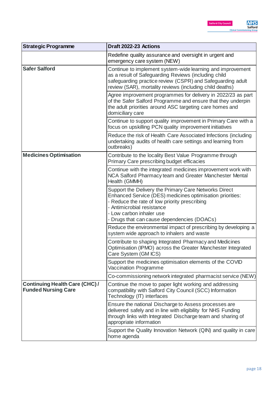| <b>Strategic Programme</b>                                          | Draft 2022-23 Actions                                                                                                                                                                                                                                                        |
|---------------------------------------------------------------------|------------------------------------------------------------------------------------------------------------------------------------------------------------------------------------------------------------------------------------------------------------------------------|
|                                                                     | Redefine quality assurance and oversight in urgent and<br>emergency care system (NEW)                                                                                                                                                                                        |
| <b>Safer Salford</b>                                                | Continue to implement system-wide learning and improvement<br>as a result of Safeguarding Reviews (including child<br>safeguarding practice review (CSPR) and Safeguarding adult<br>review (SAR), mortality reviews (including child deaths)                                 |
|                                                                     | Agree improvement programmes for delivery in 2022/23 as part<br>of the Safer Salford Programme and ensure that they underpin<br>the adult priorities around ASC targeting care homes and<br>domiciliary care                                                                 |
|                                                                     | Continue to support quality improvement in Primary Care with a<br>focus on upskilling PCN quality improvement initiatives                                                                                                                                                    |
|                                                                     | Reduce the risk of Health Care Associated Infections (including<br>undertaking audits of health care settings and learning from<br>outbreaks)                                                                                                                                |
| <b>Medicines Optimisation</b>                                       | Contribute to the locality Best Value Programme through<br>Primary Care prescribing budget efficacies                                                                                                                                                                        |
|                                                                     | Continue with the integrated medicines improvement work with<br>NCA Salford Pharmacy team and Greater Manchester Mental<br>Health (GMMH)                                                                                                                                     |
|                                                                     | Support the Delivery the Primary Care Networks Direct<br>Enhanced Service (DES) medicines optimisation priorities:<br>- Reduce the rate of low priority prescribing<br>- Antimicrobial resistance<br>- Low carbon inhaler use<br>- Drugs that can cause dependencies (DOACs) |
|                                                                     | Reduce the environmental impact of prescribing by developing a<br>system wide approach to inhalers and waste                                                                                                                                                                 |
|                                                                     | Contribute to shaping Integrated Pharmacy and Medicines<br>Optimisation (IPMO) across the Greater Manchester Integrated<br>Care System (GM ICS)                                                                                                                              |
|                                                                     | Support the medicines optimisation elements of the COVID<br>Vaccination Programme                                                                                                                                                                                            |
|                                                                     | Co-commissioning network integrated pharmacist service (NEW)                                                                                                                                                                                                                 |
| <b>Continuing Health Care (CHC) /</b><br><b>Funded Nursing Care</b> | Continue the move to paper light working and addressing<br>compatibility with Salford City Council (SCC) Information<br>Technology (IT) interfaces                                                                                                                           |
|                                                                     | Ensure the national Discharge to Assess processes are<br>delivered safely and in line with eligibility for NHS Funding<br>through links with Integrated Discharge team and sharing of<br>appropriate information                                                             |
|                                                                     | Support the Quality Innovation Network (QIN) and quality in care<br>home agenda                                                                                                                                                                                              |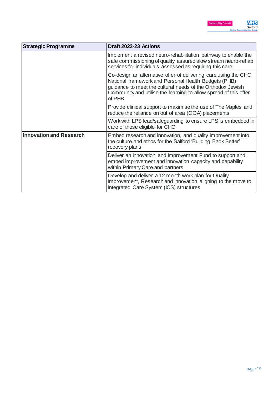| <b>Strategic Programme</b>     | Draft 2022-23 Actions                                                                                                                                                                                                                                               |
|--------------------------------|---------------------------------------------------------------------------------------------------------------------------------------------------------------------------------------------------------------------------------------------------------------------|
|                                | Implement a revised neuro-rehabilitation pathway to enable the<br>safe commissioning of quality assured slow stream neuro-rehab<br>services for individuals assessed as requiring this care                                                                         |
|                                | Co-design an alternative offer of delivering care using the CHC<br>National framework and Personal Health Budgets (PHB)<br>guidance to meet the cultural needs of the Orthodox Jewish<br>Community and utilise the learning to allow spread of this offer<br>of PHB |
|                                | Provide clinical support to maximise the use of The Maples and<br>reduce the reliance on out of area (OOA) placements                                                                                                                                               |
|                                | Work with LPS lead/safeguarding to ensure LPS is embedded in<br>care of those eligible for CHC                                                                                                                                                                      |
| <b>Innovation and Research</b> | Embed research and innovation, and quality improvement into<br>the culture and ethos for the Salford 'Building Back Better'<br>recovery plans                                                                                                                       |
|                                | Deliver an Innovation and Improvement Fund to support and<br>embed improvement and innovation capacity and capability<br>within Primary Care and partners                                                                                                           |
|                                | Develop and deliver a 12 month work plan for Quality<br>Improvement, Research and Innovation aligning to the move to<br>Integrated Care System (ICS) structures                                                                                                     |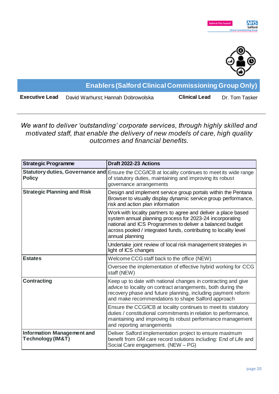

**Enablers (Salford Clinical Commissioning Group Only)**

**Executive Lead** David Warhurst; Hannah Dobrowolska **Clinical Lead** Dr. Tom Tasker

*We want to deliver 'outstanding' corporate services, through highly skilled and motivated staff, that enable the delivery of new models of care, high quality outcomes and financial benefits.*

| <b>Strategic Programme</b>                             | Draft 2022-23 Actions                                                                                                                                                                                                                                                         |
|--------------------------------------------------------|-------------------------------------------------------------------------------------------------------------------------------------------------------------------------------------------------------------------------------------------------------------------------------|
| <b>Policy</b>                                          | Statutory duties, Governance and Ensure the CCG/ICB at locality continues to meet its wide range<br>of statutory duties, maintaining and improving its robust<br>governance arrangements                                                                                      |
| <b>Strategic Planning and Risk</b>                     | Design and implement service group portals within the Pentana<br>Browser to visually display dynamic service group performance,<br>risk and action plan information                                                                                                           |
|                                                        | Work with locality partners to agree and deliver a place based<br>system annual planning process for 2023-24 incorporating<br>national and ICS Programmes to deliver a balanced budget<br>across pooled / integrated funds, contributing to locality level<br>annual planning |
|                                                        | Undertake joint review of local risk management strategies in<br>light of ICS changes                                                                                                                                                                                         |
| <b>Estates</b>                                         | Welcome CCG staff back to the office (NEW)                                                                                                                                                                                                                                    |
|                                                        | Oversee the implementation of effective hybrid working for CCG<br>staff (NEW)                                                                                                                                                                                                 |
| <b>Contracting</b>                                     | Keep up to date with national changes in contracting and give<br>advice to locality on contract arrangements, both during the<br>recovery phase and future planning, including payment reform<br>and make recommendations to shape Salford approach                           |
|                                                        | Ensure the CCG/ICB at locality continues to meet its statutory<br>duties / constitutional commitments in relation to performance,<br>maintaining and improving its robust performance management<br>and reporting arrangements                                                |
| <b>Information Management and</b><br>Technology (IM&T) | Deliver Salford implementation project to ensure maximum<br>benefit from GM care record solutions including: End of Life and<br>Social Care engagement. (NEW - PG)                                                                                                            |